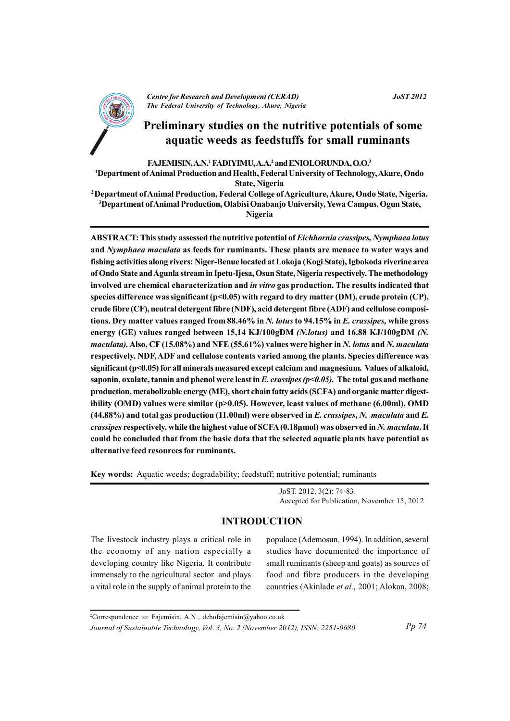

**Centre for Research and Development (CERAD)** The Federal University of Technology, Akure, Nigeria

#### **JoST 2012**

# Preliminary studies on the nutritive potentials of some aquatic weeds as feedstuffs for small ruminants

FAJEMISIN, A.N.<sup>1</sup> FADIYIMU, A.A.<sup>2</sup> and ENIOLORUNDA, O.O.<sup>3</sup>

<sup>1</sup>Department of Animal Production and Health, Federal University of Technology, Akure, Ondo **State, Nigeria** 

<sup>2</sup> Department of Animal Production, Federal College of Agriculture, Akure, Ondo State, Nigeria. <sup>3</sup>Department of Animal Production, Olabisi Onabanio University, Yewa Campus, Ogun State,

Nigeria

ABSTRACT: This study assessed the nutritive potential of Eichhornia crassipes, Nymphaea lotus and *Nymphaea maculata* as feeds for ruminants. These plants are menace to water ways and fishing activities along rivers: Niger-Benue located at Lokoja (Kogi State), Igbokoda riverine area of Ondo State and Agunla stream in Ipetu-Ijesa, Osun State, Nigeria respectively. The methodology involved are chemical characterization and in vitro gas production. The results indicated that species difference was significant  $(p<0.05)$  with regard to dry matter (DM), crude protein (CP), crude fibre (CF), neutral detergent fibre (NDF), acid detergent fibre (ADF) and cellulose compositions. Dry matter values ranged from 88.46% in N. lotus to 94.15% in E. crassipes, while gross energy (GE) values ranged between 15,14 KJ/100gDM (N.lotus) and 16.88 KJ/100gDM (N. maculata). Also, CF (15.08%) and NFE (55.61%) values were higher in N. lotus and N. maculata respectively. NDF, ADF and cellulose contents varied among the plants. Species difference was significant (p<0.05) for all minerals measured except calcium and magnesium. Values of alkaloid, saponin, oxalate, tannin and phenol were least in E. crassipes  $(p<0.05)$ . The total gas and methane production, metabolizable energy (ME), short chain fatty acids (SCFA) and organic matter digestibility (OMD) values were similar (p>0.05). However, least values of methane (6.00ml), OMD  $(44.88%)$  and total gas production  $(11.00ml)$  were observed in E. crassipes, N. maculata and E. crassipes respectively, while the highest value of SCFA (0.18µmol) was observed in N. maculata. It could be concluded that from the basic data that the selected aquatic plants have potential as alternative feed resources for ruminants.

Key words: Aquatic weeds; degradability; feedstuff; nutritive potential; ruminants

JoST. 2012. 3(2): 74-83. Accepted for Publication, November 15, 2012

## **INTRODUCTION**

The livestock industry plays a critical role in the economy of any nation especially a developing country like Nigeria. It contribute immensely to the agricultural sector and plays a vital role in the supply of animal protein to the populace (Ademosun, 1994). In addition, several studies have documented the importance of small ruminants (sheep and goats) as sources of food and fibre producers in the developing countries (Akinlade et al., 2001; Alokan, 2008;

<sup>&</sup>lt;sup>2</sup>Correspondence to: Fajemisin, A.N., debofajemisin@yahoo.co.uk

Journal of Sustainable Technology, Vol. 3, No. 2 (November 2012), ISSN: 2251-0680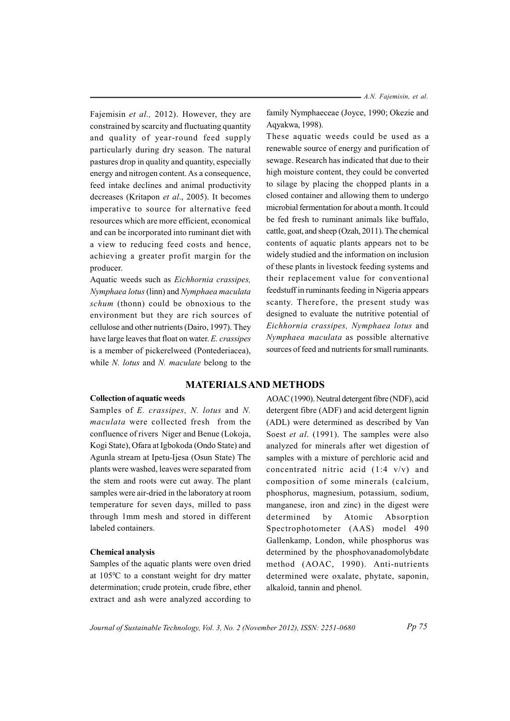Fajemisin et al., 2012). However, they are constrained by scarcity and fluctuating quantity and quality of year-round feed supply particularly during dry season. The natural pastures drop in quality and quantity, especially energy and nitrogen content. As a consequence, feed intake declines and animal productivity decreases (Kritapon et al., 2005). It becomes imperative to source for alternative feed resources which are more efficient, economical and can be incorporated into ruminant diet with a view to reducing feed costs and hence, achieving a greater profit margin for the producer.

Aquatic weeds such as Eichhornia crassipes, Nymphaea lotus (linn) and Nymphaea maculata schum (thonn) could be obnoxious to the environment but they are rich sources of cellulose and other nutrients (Dairo, 1997). They have large leaves that float on water. E. crassipes is a member of pickerelweed (Pontederiacea), while  $N$ . *lotus* and  $N$ . *maculate* belong to the

- A.N. Fajemisin, et al.

family Nymphaeceae (Joyce, 1990; Okezie and Aqyakwa, 1998).

These aquatic weeds could be used as a renewable source of energy and purification of sewage. Research has indicated that due to their high moisture content, they could be converted to silage by placing the chopped plants in a closed container and allowing them to undergo microbial fermentation for about a month. It could be fed fresh to ruminant animals like buffalo, cattle, goat, and sheep (Ozah, 2011). The chemical contents of aquatic plants appears not to be widely studied and the information on inclusion of these plants in livestock feeding systems and their replacement value for conventional feedstuff in ruminants feeding in Nigeria appears scanty. Therefore, the present study was designed to evaluate the nutritive potential of Eichhornia crassipes, Nymphaea lotus and Nymphaea maculata as possible alternative sources of feed and nutrients for small ruminants.

## **MATERIALS AND METHODS**

## **Collection of aquatic weeds**

Samples of E. crassipes, N. lotus and N. *maculata* were collected fresh from the confluence of rivers Niger and Benue (Lokoja, Kogi State), Ofara at Igbokoda (Ondo State) and Agunla stream at Ipetu-Ijesa (Osun State) The plants were washed, leaves were separated from the stem and roots were cut away. The plant samples were air-dried in the laboratory at room temperature for seven days, milled to pass through 1mm mesh and stored in different labeled containers.

## **Chemical analysis**

Samples of the aquatic plants were oven dried at  $105\textdegree$ C to a constant weight for dry matter determination; crude protein, crude fibre, ether extract and ash were analyzed according to

AOAC (1990). Neutral detergent fibre (NDF), acid detergent fibre (ADF) and acid detergent lignin (ADL) were determined as described by Van Soest et al. (1991). The samples were also analyzed for minerals after wet digestion of samples with a mixture of perchloric acid and concentrated nitric acid  $(1:4 \text{ v/v})$  and composition of some minerals (calcium, phosphorus, magnesium, potassium, sodium, manganese, iron and zinc) in the digest were Atomic determined  $by$ Absorption Spectrophotometer (AAS) model 490 Gallenkamp, London, while phosphorus was determined by the phosphovanadomolybdate method (AOAC, 1990). Anti-nutrients determined were oxalate, phytate, saponin, alkaloid, tannin and phenol.

Journal of Sustainable Technology, Vol. 3, No. 2 (November 2012), ISSN: 2251-0680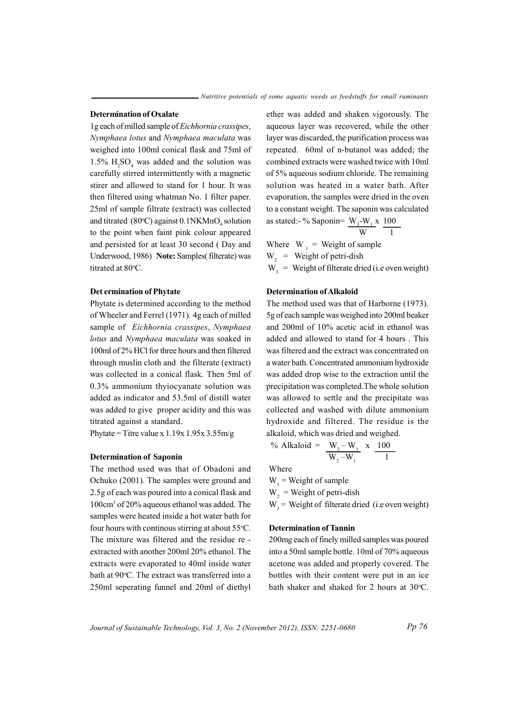### **Determination of Oxalate**

1g each of milled sample of *Eichhornia crassipes*, *Nymphaea lotus* and *Nymphaea maculata* was weighed into 100ml conical flask and 75ml of 1.5%  $H_2SO_4$  was added and the solution was carefully stirred intermittently with a magnetic stirer and allowed to stand for 1 hour. It was then filtered using whatman No. 1 filter paper. 25ml of sample filtrate (extract) was collected and titrated  $(80^{\circ}\text{C})$  against  $0.1\text{NKMnO}_4$  solution to the point when faint pink colour appeared and persisted for at least 30 second (Day and Underwood, 1986) Note: Samples(filterate) was titrated at 80°C.

#### $i$  **Det ermination of Phytate**

Phytate is determined according to the method of Wheeler and Ferrel (1971). 4g each of milled sample of *Eichhornia crassipes*, *Nymphaea lotus* and *Nymphaea maculata* was soaked in 100ml of 2% HCl for three hours and then filtered through muslin cloth and the filterate (extract) was collected in a conical flask. Then 5ml of  $0.3\%$  ammonium thy iocyanate solution was added as indicator and 53.5ml of distill water was added to give proper acidity and this was titrated against a standard.

Phytate = Titre value x  $1.19x 1.95x 3.55m/g$ 

#### *<u><b>Determination* of Saponin</u>

The method used was that of Obadoni and Ochuko (2001). The samples were ground and 2.5g of each was poured into a conical flask and  $100 \text{cm}^3$  of  $20\%$  a que ous ethan ol was added. The samples were heated inside a hot water bath for four hours with continous stirring at about 55°C. The mixture was filtered and the residue re extracted with another 200ml 20% ethanol. The extracts were evaporated to 40ml inside water bath at 90°C. The extract was transferred into a 250ml seperating funnel and 20ml of diethyl

ether was added and shaken vigorously. The aqueous layer was recovered, while the other layer was discarded, the purification process was repeated. 60ml of n-butanol was added; the combined extracts were washed twice with 10ml of 5% aqueous sodium chloride. The remaining solution was heated in a water bath. After evaporation, the samples were dried in the oven to a constant weight. The saponin was calculated as stated:- % Saponin=  $W_3-W_1x 100$ 

$$
\frac{3}{w} \frac{1}{1}
$$

Where  $W_1$  = Weight of sample  $W<sub>2</sub>$  = Weight of petri-dish

 $W_2$  = Weight of filterate dried (i.e oven weight)

#### *<u><b>Determination of Alkaloid</u>*</u>

The method used was that of Harborne (1973). 5g of each sample was weighed into 200ml beaker and  $200$ ml of  $10\%$  acetic acid in ethanol was added and allowed to stand for 4 hours . This was filtered and the extract was concentrated on a water bath. Concentrated ammonium hydroxide was added drop wise to the extraction until the precipitation was completed. The whole solution was allowed to settle and the precipitate was collected and washed with dilute ammonium hydroxide and filtered. The residue is the alkaloid, which was dried and weighed.

% Alkaloid = 
$$
\frac{W_3 - W_1}{W_2 - W_1} \times \frac{100}{1}
$$

Where

 $W_1$  = Weight of sample

 $W<sub>2</sub>$  = Weight of petri-dish

 $W<sub>1</sub>$  = Weight of filterate dried (i.e oven weight)

#### **Determination of Tannin**

200mg each of finely milled samples was poured into a 50ml sample bottle. 10ml of 70% aqueous acetone was added and properly covered. The bottles with their content were put in an ice bath shaker and shaked for 2 hours at 30°C.

*Pp* 76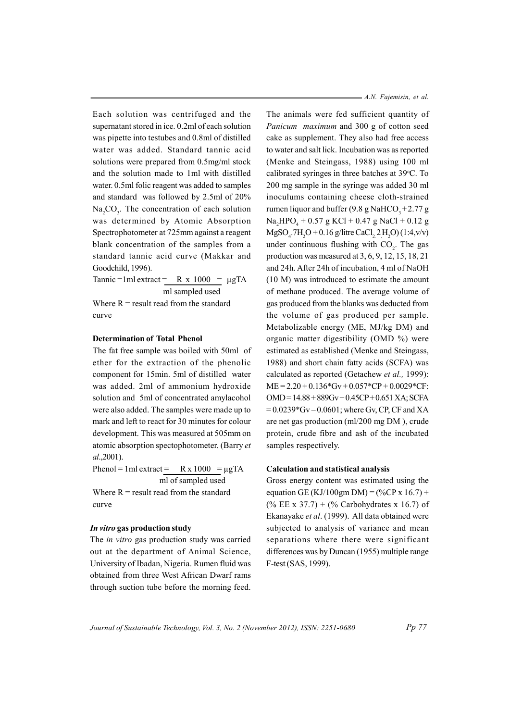Each solution was centrifuged and the supernatant stored in ice. 0.2ml of each solution was pipette into testubes and 0.8ml of distilled water was added. Standard tannic acid solutions were prepared from 0.5mg/ml stock and the solution made to 1ml with distilled water. 0.5ml folic reagent was added to samples and standard was followed by 2.5ml of 20%  $Na, CO<sub>3</sub>$ . The concentration of each solution was determined by Atomic Absorption Spectrophotometer at 725mm against a reagent blank concentration of the samples from a standard tannic acid curve (Makkar and Goodchild, 1996).

Tannic=1ml extract =  $R \times 1000 = \mu gTA$ ml sampled used Where  $R$  = result read from the standard curve

#### **Determination of Total Phenol**

The fat free sample was boiled with 50ml of ether for the extraction of the phenolic component for 15min. 5ml of distilled water was added. 2ml of ammonium hydroxide solution and 5ml of concentrated amylacohol were also added. The samples were made up to mark and left to react for 30 minutes for colour development. This was measured at 505mm on atomic absorption spectophotometer. (Barry et  $al., 2001$ ).

Phenol = 1 ml extract =  $R \times 1000 = \mu gTA$ ml of sampled used Where  $R$  = result read from the standard curve

#### In vitro gas production study

The in vitro gas production study was carried out at the department of Animal Science, University of Ibadan, Nigeria. Rumen fluid was obtained from three West African Dwarf rams through suction tube before the morning feed.  $- A.N. Fajemisin, et al.$ 

The animals were fed sufficient quantity of Panicum maximum and 300 g of cotton seed cake as supplement. They also had free access to water and salt lick. Incubation was as reported (Menke and Steingass, 1988) using 100 ml calibrated syringes in three batches at 39°C. To 200 mg sample in the syringe was added 30 ml inoculums containing cheese cloth-strained rumen liquor and buffer  $(9.8 \text{ g } \text{NaHCO}_{3} + 2.77 \text{ g})$  $Na_{A}HPO_{A} + 0.57 g KCl + 0.47 g NaCl + 0.12 g$  $MgSO.7H_2O + 0.16$  g/litre CaCl, 2 H<sub>2</sub>O) (1:4, v/v) under continuous flushing with CO<sub>2</sub>. The gas production was measured at  $3, 6, 9, 12, 15, 18, 21$ and 24h. After 24h of incubation, 4 ml of NaOH (10 M) was introduced to estimate the amount of methane produced. The average volume of gas produced from the blanks was deducted from the volume of gas produced per sample. Metabolizable energy (ME, MJ/kg DM) and organic matter digestibility (OMD %) were estimated as established (Menke and Steingass, 1988) and short chain fatty acids (SCFA) was calculated as reported (Getachew et al., 1999):  $ME = 2.20 + 0.136*Gv + 0.057*CP + 0.0029*CF$ :  $OMD = 14.88 + 889Gv + 0.45CP + 0.651 XA$ ; SCFA  $= 0.0239*$  Gv  $- 0.0601$ ; where Gv, CP, CF and XA are net gas production (ml/200 mg DM), crude protein, crude fibre and ash of the incubated samples respectively.

#### **Calculation and statistical analysis**

Gross energy content was estimated using the equation GE (KJ/100gm DM) =  $(\%CP \times 16.7)$  +  $(\%$  EE x 37.7) +  $(\%$  Carbohydrates x 16.7) of Ekanayake et al. (1999). All data obtained were subjected to analysis of variance and mean separations where there were significant differences was by Duncan (1955) multiple range F-test (SAS, 1999).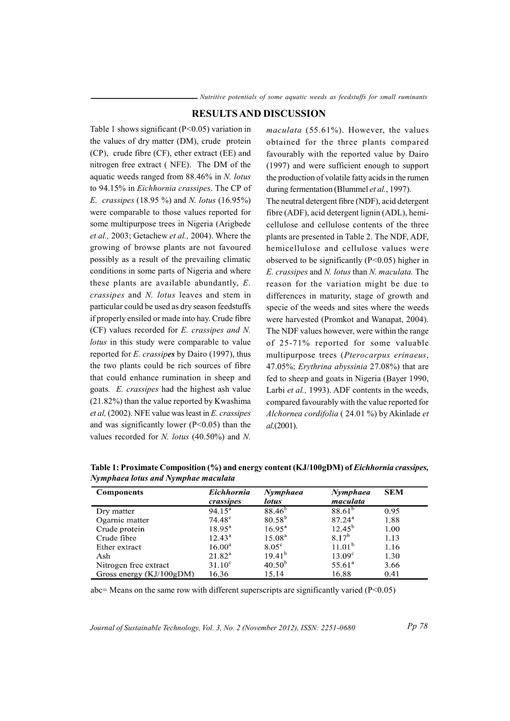## **RESULTS AND DISCUSSION**

Table 1 shows significant  $(P<0.05)$  variation in the values of dry matter (DM), crude protein (CP), crude fibre (CF), ether extract (EE) and nitrogen free extract (NFE). The DM of the aquatic weeds ranged from  $88.46\%$  in N. lotus to 94.15% in Eichhornia crassipes. The CP of *E. crassipes* (18.95 %) and *N. lotus* (16.95%) were comparable to those values reported for some multipurpose trees in Nigeria (Arigbede *et al.*, 2003; Getachew *et al.*, 2004). Where the growing of browse plants are not favoured possibly as a result of the prevailing climatic conditions in some parts of Nigeria and where these plants are available abundantly,  $E$ . crassipes and N. lotus leaves and stem in particular could be used as dry season feedstuffs if properly ensiled or made into hay. Crude fibre (CF) values recorded for E. crassipes and N. lotus in this study were comparable to value reported for E. crassipes by Dairo (1997), thus the two plants could be rich sources of fibre that could enhance rumination in sheep and goats. E. crassipes had the highest ash value  $(21.82\%)$  than the value reported by Kwashima et al, (2002). NFE value was least in E. crassipes and was significantly lower ( $P<0.05$ ) than the values recorded for N. lotus  $(40.50\%)$  and N.

maculata (55.61%). However, the values obtained for the three plants compared favourably with the reported value by Dairo (1997) and were sufficient enough to support the production of volatile fatty acids in the rumen during fermentation (Blummel et al., 1997). The neutral detergent fibre (NDF), acid detergent fibre (ADF), acid detergent lignin (ADL), hemicellulose and cellulose contents of the three plants are presented in Table 2. The NDF, ADF, hemicellulose and cellulose values were observed to be significantly ( $P \le 0.05$ ) higher in E. crassipes and N. lotus than N. maculata. The reason for the variation might be due to differences in maturity, stage of growth and specie of the weeds and sites where the weeds were harvested (Promkot and Wanapat, 2004). The NDF values however, were within the range of 25-71% reported for some valuable multipurpose trees (Pterocarpus erinaeus, 47.05%; Erythrina abyssinia 27.08%) that are fed to sheep and goats in Nigeria (Bayer 1990, Larbi et al., 1993). ADF contents in the weeds, compared favourably with the value reported for Alchornea cordifolia (24.01 %) by Akinlade et  $al$ , (2001).

| <b>Components</b>        | <b>Eichhornia</b><br>crassipes | Nymphaea<br><i>lotus</i> | Nymphaea<br>maculata | <b>SEM</b> |
|--------------------------|--------------------------------|--------------------------|----------------------|------------|
| Dry matter               | $94.15^a$                      | $88.46^{b}$              | $88.61^{b}$          | 0.95       |
| Ogarnic matter           | $74.48^{\circ}$                | $80.58^{b}$              | $87.24^{\rm a}$      | 1.88       |
| Crude protein            | $18.95^{\rm a}$                | $16.95^{\circ}$          | $12.45^{\rm b}$      | 1.00       |
| Crude fibre              | $12.43^{\rm a}$                | $15.08^{a}$              | $8.17^{b}$           | 1.13       |
| Ether extract            | $16.00^a$                      | $8.05^\circ$             | 11.01 <sup>b</sup>   | 1.16       |
| Ash                      | $21.82^{\rm a}$                | $19.41^{b}$              | $13.09^{\circ}$      | 1.30       |
| Nitrogen free extract    | $31.10^{\circ}$                | $40.50^{b}$              | $55.61^{\circ}$      | 3.66       |
| Gross energy (KJ/100gDM) | 16.36                          | 15.14                    | 16.88                | 0.41       |

Table 1: Proximate Composition (%) and energy content (KJ/100gDM) of Eichhornia crassipes, Nymphaea lotus and Nymphae maculata

abc= Means on the same row with different superscripts are significantly varied ( $P<0.05$ )

Journal of Sustainable Technology, Vol. 3, No. 2 (November 2012), ISSN: 2251-0680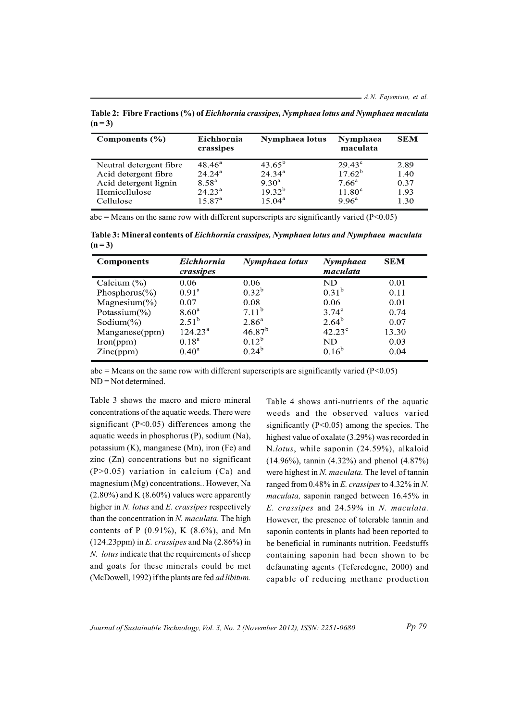Table 2: Fibre Fractions (%) of Eichhornia crassipes, Nymphaea lotus and Nymphaea maculata  $(n=3)$ 

| Components $(\% )$      | Eichhornia<br>crassipes | Nymphaea lotus  | Nymphaea<br>maculata | <b>SEM</b> |
|-------------------------|-------------------------|-----------------|----------------------|------------|
| Neutral detergent fibre | $48.46^{\circ}$         | $43.65^{\circ}$ | $29.43^{\circ}$      | 2.89       |
| Acid detergent fibre    | $24.24^{\rm a}$         | $24.34^{\rm a}$ | $17.62^{\rm b}$      | 1.40       |
| Acid detergent lignin   | $8.58^{a}$              | $9.30^{\circ}$  | $7.66^{\rm a}$       | 0.37       |
| Hemicellulose           | $24.23^{\rm a}$         | $19.32^{b}$     | $11.80^\circ$        | 1.93       |
| Cellulose               | $15.87^{a}$             | $15.04^{\rm a}$ | $9.96^{\rm a}$       | 1.30       |

abc = Means on the same row with different superscripts are significantly varied ( $P < 0.05$ )

Table 3: Mineral contents of Eichhornia crassipes, Nymphaea lotus and Nymphaea maculata  $(n=3)$ 

| <b>Components</b>         | <b>Eichhornia</b><br>crassipes | Nymphaea lotus | Nymphaea<br>maculata | <b>SEM</b> |
|---------------------------|--------------------------------|----------------|----------------------|------------|
| Calcium $(\%)$            | 0.06                           | 0.06           | ND                   | 0.01       |
| Phosphorus( $\%$ )        | 0.91 <sup>a</sup>              | $0.32^{b}$     | $0.31^{b}$           | 0.11       |
| Magnesium $(\% )$         | 0.07                           | 0.08           | 0.06                 | 0.01       |
| Potassium $(\frac{9}{6})$ | $8.60^{\rm a}$                 | $7.11^{b}$     | $3.74^\circ$         | 0.74       |
| Sodium $(\%)$             | $2.51^{b}$                     | $2.86^{\rm a}$ | $2.64^{b}$           | 0.07       |
| Manganese(ppm)            | $124.23^{\rm a}$               | $46.87^{b}$    | $42.23^{\circ}$      | 13.30      |
| Iron(ppm)                 | $0.18^{a}$                     | $0.12^{b}$     | ND                   | 0.03       |
| Zinc(ppm)                 | $0.40^{\rm a}$                 | $0.24^{b}$     | $0.16^{b}$           | 0.04       |

 $abc = Means$  on the same row with different superscripts are significantly varied ( $P < 0.05$ )  $ND = Not determined$ 

Table 3 shows the macro and micro mineral concentrations of the aquatic weeds. There were significant ( $P<0.05$ ) differences among the aquatic weeds in phosphorus  $(P)$ , sodium  $(Na)$ , potassium (K), manganese (Mn), iron (Fe) and zinc (Zn) concentrations but no significant  $(P>0.05)$  variation in calcium  $(Ca)$  and magnesium (Mg) concentrations.. However, Na  $(2.80\%)$  and K  $(8.60\%)$  values were apparently higher in  $N$ . *lotus* and  $E$ . *crassipes* respectively than the concentration in  $N$ . *maculata*. The high contents of P  $(0.91\%)$ , K  $(8.6\%)$ , and Mn (124.23ppm) in E. crassipes and Na  $(2.86\%)$  in N. lotus indicate that the requirements of sheep and goats for these minerals could be met (McDowell, 1992) if the plants are fed *ad libitum*. Table 4 shows anti-nutrients of the aquatic weeds and the observed values varied significantly ( $P<0.05$ ) among the species. The highest value of oxalate (3.29%) was recorded in N.lotus, while saponin (24.59%), alkaloid  $(14.96\%)$ , tannin  $(4.32\%)$  and phenol  $(4.87\%)$ were highest in N. maculata. The level of tannin ranged from 0.48% in E. crassipes to 4.32% in N. *maculata*, saponin ranged between 16.45% in E. crassipes and 24.59% in N. maculata. However, the presence of tolerable tannin and saponin contents in plants had been reported to be beneficial in ruminants nutrition. Feedstuffs containing saponin had been shown to be defaunating agents (Teferedegne, 2000) and capable of reducing methane production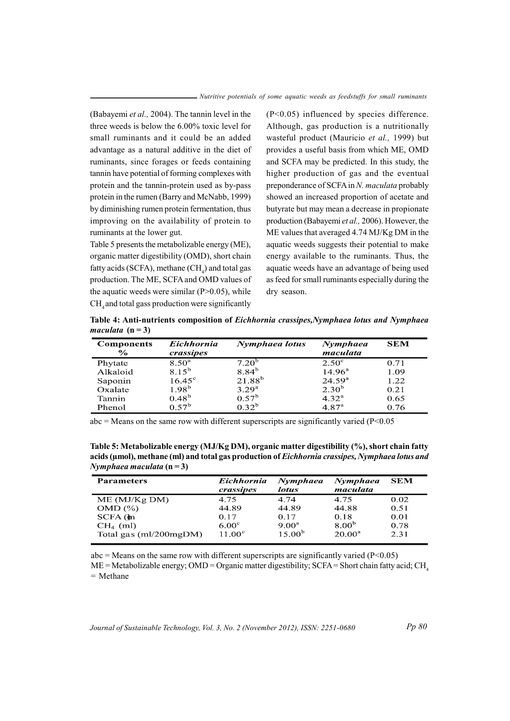(Babayemi et al., 2004). The tannin level in the three weeds is below the 6.00% toxic level for small ruminants and it could be an added advantage as a natural additive in the diet of ruminants, since forages or feeds containing tannin have potential of forming complexes with protein and the tannin-protein used as by-pass protein in the rumen (Barry and McNabb, 1999) by diminishing rumen protein fermentation, thus improving on the availability of protein to ruminants at the lower gut.

Table 5 presents the metabolizable energy (ME), organic matter digestibility (OMD), short chain fatty acids (SCFA), methane (CH) and total gas production. The ME, SCFA and OMD values of the aquatic weeds were similar  $(P>0.05)$ , while CH, and total gass production were significantly

 $(P<0.05)$  influenced by species difference. Although, gas production is a nutritionally wasteful product (Mauricio et al., 1999) but provides a useful basis from which ME, OMD and SCFA may be predicted. In this study, the higher production of gas and the eventual preponderance of SCFA in N. maculata probably showed an increased proportion of acetate and butyrate but may mean a decrease in propionate production (Babayemi et al., 2006). However, the ME values that averaged 4.74 MJ/Kg DM in the aquatic weeds suggests their potential to make energy available to the ruminants. Thus, the aquatic weeds have an advantage of being used as feed for small ruminants especially during the dry season.

Table 4: Anti-nutrients composition of Eichhornia crassipes, Nymphaea lotus and Nymphaea maculata  $(n=3)$ 

| <b>Components</b><br>$\frac{6}{6}$ | <b>Eichhornia</b><br>crassipes | Nymphaea lotus    | Nymphaea<br>maculata | <b>SEM</b> |
|------------------------------------|--------------------------------|-------------------|----------------------|------------|
| Phytate                            | $8.50^{\rm a}$                 | $7.20^{b}$        | $2.50^{\circ}$       | 0.71       |
| Alkaloid                           | $8.15^{b}$                     | 8.84 <sup>b</sup> | $14.96^{\rm a}$      | 1.09       |
| Saponin                            | $16.45^{\circ}$                | $21.88^{b}$       | 24.59 <sup>a</sup>   | 1.22       |
| Oxalate                            | $1.98^{b}$                     | 3.29 <sup>a</sup> | $2.30^{b}$           | 0.21       |
| Tannin                             | $0.48^{b}$                     | 0.57 <sup>b</sup> | $4.32^{\rm a}$       | 0.65       |
| Phenol                             | 0.57 <sup>b</sup>              | $0.32^{b}$        | 4.87 <sup>a</sup>    | 0.76       |

 $abc$  = Means on the same row with different superscripts are significantly varied (P<0.05)

Table 5: Metabolizable energy (MJ/Kg DM), organic matter digestibility (%), short chain fatty acids (umol), methane (ml) and total gas production of *Eichhornia crassipes*, *Nymphaea lotus and* Nymphaea maculata  $(n=3)$ 

| <b>Parameters</b>        | Eichhornia<br>crassipes | Nymphaea<br>lotus  | Nymphaea<br>maculata | <b>SEM</b> |
|--------------------------|-------------------------|--------------------|----------------------|------------|
| ME (MJ/Kg DM)            | 4.75                    | 4.74               | 4.75                 | 0.02       |
| OMD (%)                  | 44.89                   | 44.89              | 44.88                | 0.51       |
| $SCFA$ ( $\bf{m}$ )      | 0.17                    | 0.17               | 0.18                 | 0.01       |
| $CH4$ (ml)               | $6.00^\circ$            | $9.00^{\rm a}$     | $8.00^{b}$           | 0.78       |
| Total gas $(ml/200mgDM)$ | $11.00^{\circ}$         | 15.00 <sup>b</sup> | $20.00^a$            | 2.31       |

 $abc$  = Means on the same row with different superscripts are significantly varied (P<0.05)  $ME = Metabolizable$  energy; OMD = Organic matter digestibility; SCFA = Short chain fatty acid; CH<sub>4</sub>  $=$  Methane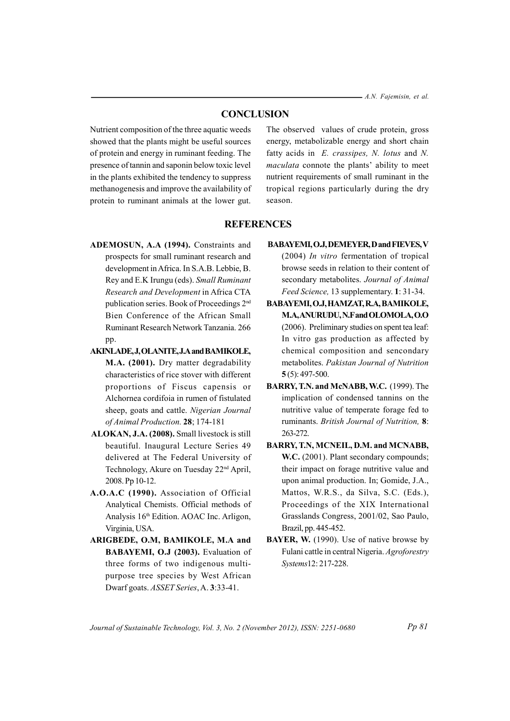- A.N. Fajemisin, et al.

## **CONCLUSION**

Nutrient composition of the three aquatic weeds showed that the plants might be useful sources of protein and energy in ruminant feeding. The presence of tannin and saponin below toxic level in the plants exhibited the tendency to suppress methanogenesis and improve the availability of protein to ruminant animals at the lower gut.

The observed values of crude protein, gross energy, metabolizable energy and short chain fatty acids in E. crassipes, N. lotus and N. *maculata* connote the plants' ability to meet nutrient requirements of small ruminant in the tropical regions particularly during the dry season.

## **REFERENCES**

- ADEMOSUN, A.A (1994). Constraints and prospects for small ruminant research and development in Africa. In S.A.B. Lebbie, B. Rey and E.K Irungu (eds). Small Ruminant Research and Development in Africa CTA publication series. Book of Proceedings 2<sup>nd</sup> Bien Conference of the African Small Ruminant Research Network Tanzania 266 pp.
- **AKINLADE, J, OLANITE, J.A and BAMIKOLE,** M.A. (2001). Dry matter degradability characteristics of rice stover with different proportions of Fiscus capensis or Alchornea cordifoia in rumen of fistulated sheep, goats and cattle. Nigerian Journal of Animal Production. 28; 174-181
- ALOKAN, J.A. (2008). Small livestock is still beautiful. Inaugural Lecture Series 49 delivered at The Federal University of Technology, Akure on Tuesday 22<sup>nd</sup> April, 2008. Pp 10-12.
- A.O.A.C (1990). Association of Official Analytical Chemists. Official methods of Analysis 16<sup>th</sup> Edition. AOAC Inc. Arligon, Virginia, USA.
- ARIGBEDE, O.M, BAMIKOLE, M.A and BABAYEMI, O.J (2003). Evaluation of three forms of two indigenous multipurpose tree species by West African Dwarf goats. ASSET Series, A. 3:33-41.

BABAYEMI, O.J, DEMEYER, D and FIEVES, V  $(2004)$  *In vitro* fermentation of tropical

browse seeds in relation to their content of secondary metabolites. Journal of Animal Feed Science, 13 supplementary. 1: 31-34.

- BABAYEMI, O.J, HAMZAT, R.A, BAMIKOLE, M.A.ANURUDU, N.F and OLOMOLA, O.O (2006). Preliminary studies on spent tea leaf: In vitro gas production as affected by chemical composition and sencondary metabolites. Pakistan Journal of Nutrition  $5(5)$ : 497-500.
- BARRY, T.N. and McNABB, W.C. (1999). The implication of condensed tannins on the nutritive value of temperate forage fed to ruminants. British Journal of Nutrition, 8: 263-272.
- BARRY, T.N, MCNEIL, D.M. and MCNABB, W.C. (2001). Plant secondary compounds; their impact on forage nutritive value and upon animal production. In; Gomide, J.A., Mattos, W.R.S., da Silva, S.C. (Eds.), Proceedings of the XIX International Grasslands Congress, 2001/02, Sao Paulo, Brazil, pp. 445-452.
- BAYER, W. (1990). Use of native browse by Fulani cattle in central Nigeria. Agroforestry Systems12:217-228.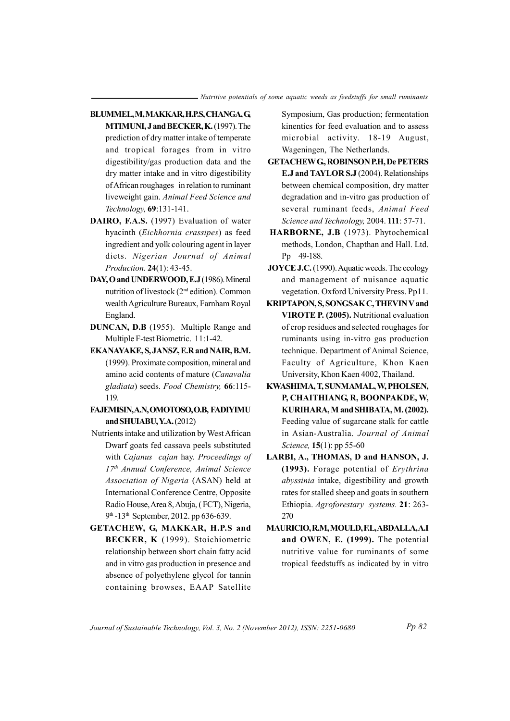- BLUMMEL, M, MAKKAR, H.P.S, CHANGA, G, MTIMUNI, J and BECKER, K. (1997). The prediction of dry matter intake of temperate and tropical forages from in vitro digestibility/gas production data and the dry matter intake and in vitro digestibility of African roughages in relation to ruminant liveweight gain. Animal Feed Science and Technology, 69:131-141.
- DAIRO, F.A.S. (1997) Evaluation of water hyacinth (Eichhornia crassipes) as feed ingredient and yolk colouring agent in layer diets. Nigerian Journal of Animal Production. 24(1): 43-45.
- DAY, O and UNDERWOOD, E.J (1986). Mineral nutrition of livestock (2<sup>nd</sup> edition). Common wealth Agriculture Bureaux, Farnham Royal England.
- DUNCAN, D.B (1955). Multiple Range and Multiple F-test Biometric. 11:1-42.
- EKANAYAKE, S, JANSZ, E.R and NAIR, B.M. (1999). Proximate composition, mineral and amino acid contents of mature (Canavalia gladiata) seeds. Food Chemistry, 66:115-119.
- FAJEMISIN, A.N, OMOTOSO, O.B, FADIYIMU and SHUIABU, Y.A. (2012)
- Nutrients intake and utilization by West African Dwarf goats fed cassava peels substituted with Cajanus cajan hay. Proceedings of 17th Annual Conference, Animal Science Association of Nigeria (ASAN) held at International Conference Centre, Opposite Radio House, Area 8, Abuja, (FCT), Nigeria, 9th -13th September, 2012. pp 636-639.
- GETACHEW, G, MAKKAR, H.P.S and BECKER, K (1999). Stoichiometric relationship between short chain fatty acid and in vitro gas production in presence and absence of polyethylene glycol for tannin containing browses, EAAP Satellite

Symposium, Gas production; fermentation kinentics for feed evaluation and to assess microbial activity. 18-19 August, Wageningen, The Netherlands.

- **GETACHEW G, ROBINSON P.H, De PETERS** E.J and TAYLOR S.J (2004). Relationships between chemical composition, dry matter degradation and in-vitro gas production of several ruminant feeds, Animal Feed Science and Technology, 2004. 111: 57-71.
- HARBORNE, J.B (1973). Phytochemical methods, London, Chapthan and Hall. Ltd. Pp 49-188.
- **JOYCE J.C.** (1990). Aquatic weeds. The ecology and management of nuisance aquatic vegetation. Oxford University Press. Pp11.
- KRIPTAPON, S, SONGSAK C, THEVIN V and VIROTE P. (2005). Nutritional evaluation of crop residues and selected roughages for ruminants using in-vitro gas production technique. Department of Animal Science, Faculty of Agriculture, Khon Kaen University, Khon Kaen 4002, Thailand.
- KWASHIMA, T, SUNMAMAL, W, PHOLSEN, P, CHAITHIANG, R, BOONPAKDE, W, KURIHARA, M and SHIBATA, M. (2002). Feeding value of sugarcane stalk for cattle in Asian-Australia. Journal of Animal Science, 15(1): pp 55-60
- LARBI, A., THOMAS, D and HANSON, J. (1993). Forage potential of Erythrina abyssinia intake, digestibility and growth rates for stalled sheep and goats in southern Ethiopia. Agroforestary systems. 21: 263-270
- MAURICIO, R.M, MOULD, F.L, ABDALLA, A.I and OWEN, E. (1999). The potential nutritive value for ruminants of some tropical feedstuffs as indicated by in vitro